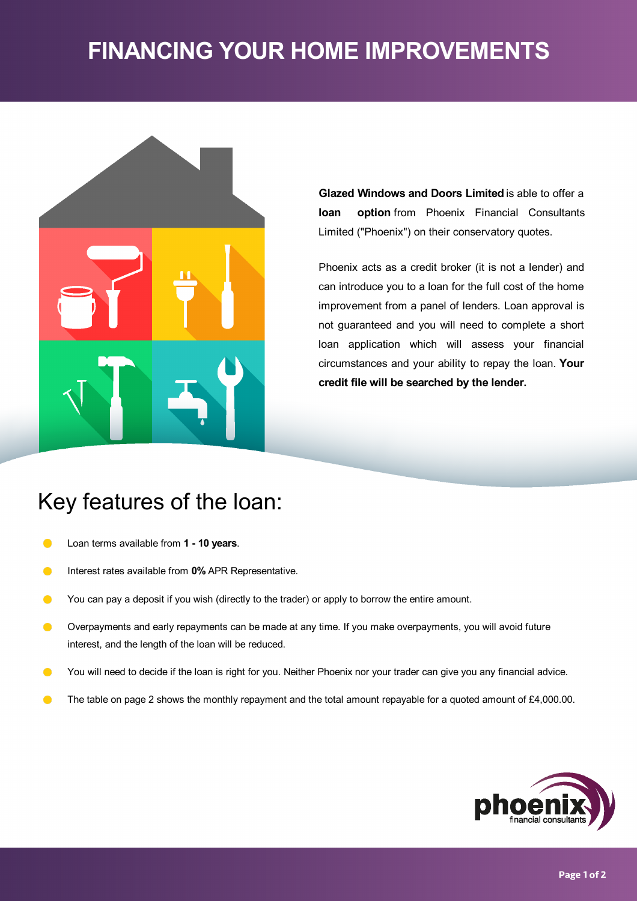# **FINANCING YOUR HOME IMPROVEMENTS**



**Glazed Windows and Doors Limited** is able to offer a **loan option** from Phoenix Financial Consultants Limited ("Phoenix") on their conservatory quotes.

Phoenix acts as a credit broker (it is not a lender) and can introduce you to a loan for the full cost of the home improvement from a panel of lenders. Loan approval is not guaranteed and you will need to complete a short loan application which will assess your financial circumstances and your ability to repay the loan. **Your credit file will be searched by the lender.**

# Key features of the loan:

- Loan terms available from **1 -10 years**.  $\bullet$
- Interest rates available from **0%** APR Representative.  $\bullet$
- $\bullet$ You can pay a deposit if you wish (directly to the trader) or apply to borrow the entire amount.
- Overpayments and early repayments can be made at any time. If you make overpayments, you will avoid future  $\bullet$ interest, and the length of the loan will be reduced.
- $\bullet$ You will need to decide if the loan is right for you. Neither Phoenix nor your trader can give you any financial advice.
- The table on page 2 shows the monthly repayment and the total amount repayable for a quoted amount of £4,000.00.